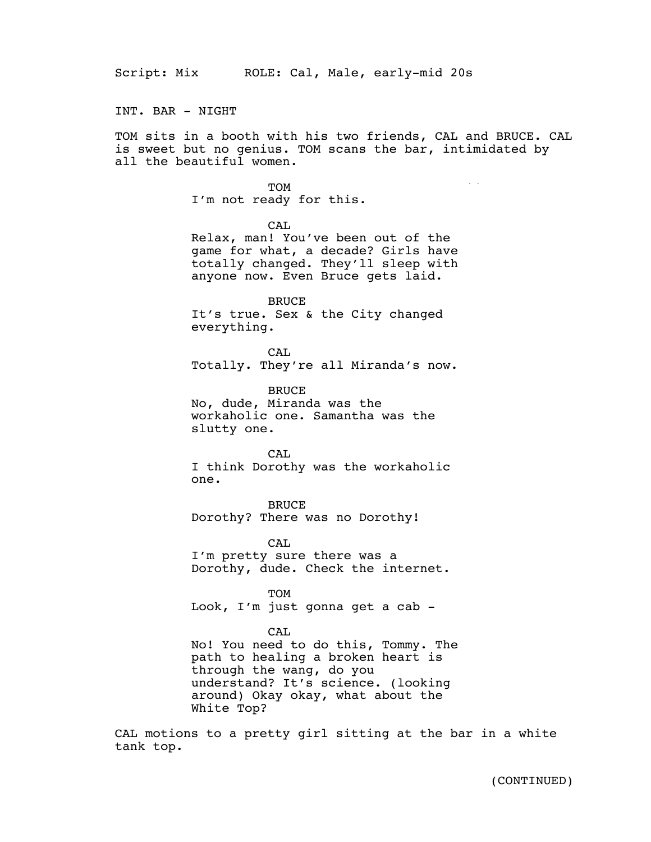INT. BAR - NIGHT

TOM sits in a booth with his two friends, CAL and BRUCE. CAL is sweet but no genius. TOM scans the bar, intimidated by all the beautiful women.

## **TOM**

I'm not ready for this.

CAL.

Relax, man! You've been out of the game for what, a decade? Girls have totally changed. They'll sleep with anyone now. Even Bruce gets laid.

BRUCE It's true. Sex & the City changed everything.

CAL Totally. They're all Miranda's now.

BRUCE

No, dude, Miranda was the workaholic one. Samantha was the slutty one.

CAL I think Dorothy was the workaholic one.

BRUCE Dorothy? There was no Dorothy!

CAL I'm pretty sure there was a Dorothy, dude. Check the internet.

TOM Look, I'm just gonna get a cab -

## CAL

No! You need to do this, Tommy. The path to healing a broken heart is through the wang, do you understand? It's science. (looking around) Okay okay, what about the White Top?

CAL motions to a pretty girl sitting at the bar in a white tank top.